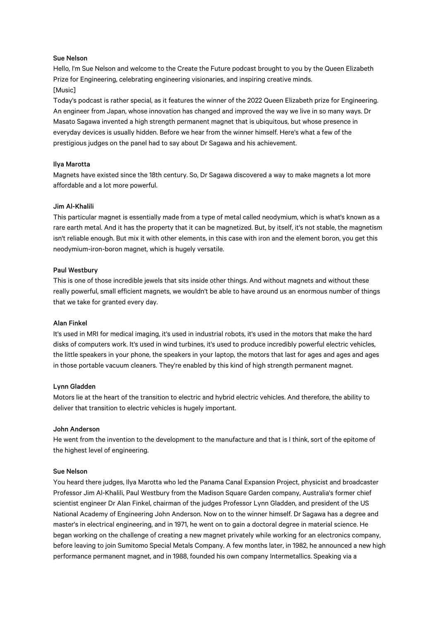# Sue Nelson

Hello, I'm Sue Nelson and welcome to the Create the Future podcast brought to you by the Queen Elizabeth Prize for Engineering, celebrating engineering visionaries, and inspiring creative minds. [Music]

Today's podcast is rather special, as it features the winner of the 2022 Queen Elizabeth prize for Engineering. An engineer from Japan, whose innovation has changed and improved the way we live in so many ways. Dr Masato Sagawa invented a high strength permanent magnet that is ubiquitous, but whose presence in everyday devices is usually hidden. Before we hear from the winner himself. Here's what a few of the prestigious judges on the panel had to say about Dr Sagawa and his achievement.

# Ilya Marotta

Magnets have existed since the 18th century. So, Dr Sagawa discovered a way to make magnets a lot more affordable and a lot more powerful.

# Jim Al-Khalili

This particular magnet is essentially made from a type of metal called neodymium, which is what's known as a rare earth metal. And it has the property that it can be magnetized. But, by itself, it's not stable, the magnetism isn't reliable enough. But mix it with other elements, in this case with iron and the element boron, you get this neodymium-iron-boron magnet, which is hugely versatile.

## Paul Westbury

This is one of those incredible jewels that sits inside other things. And without magnets and without these really powerful, small efficient magnets, we wouldn't be able to have around us an enormous number of things that we take for granted every day.

# Alan Finkel

It's used in MRI for medical imaging, it's used in industrial robots, it's used in the motors that make the hard disks of computers work. It's used in wind turbines, it's used to produce incredibly powerful electric vehicles, the little speakers in your phone, the speakers in your laptop, the motors that last for ages and ages and ages in those portable vacuum cleaners. They're enabled by this kind of high strength permanent magnet.

## Lynn Gladden

Motors lie at the heart of the transition to electric and hybrid electric vehicles. And therefore, the ability to deliver that transition to electric vehicles is hugely important.

## John Anderson

He went from the invention to the development to the manufacture and that is I think, sort of the epitome of the highest level of engineering.

# Sue Nelson

You heard there judges, Ilya Marotta who led the Panama Canal Expansion Project, physicist and broadcaster Professor Jim Al-Khalili, Paul Westbury from the Madison Square Garden company, Australia's former chief scientist engineer Dr Alan Finkel, chairman of the judges Professor Lynn Gladden, and president of the US National Academy of Engineering John Anderson. Now on to the winner himself. Dr Sagawa has a degree and master's in electrical engineering, and in 1971, he went on to gain a doctoral degree in material science. He began working on the challenge of creating a new magnet privately while working for an electronics company, before leaving to join Sumitomo Special Metals Company. A few months later, in 1982, he announced a new high performance permanent magnet, and in 1988, founded his own company Intermetallics. Speaking via a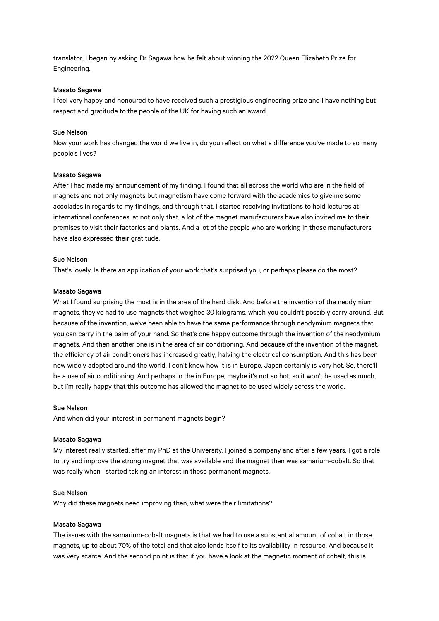translator, I began by asking Dr Sagawa how he felt about winning the 2022 Queen Elizabeth Prize for Engineering.

## Masato Sagawa

I feel very happy and honoured to have received such a prestigious engineering prize and I have nothing but respect and gratitude to the people of the UK for having such an award.

## Sue Nelson

Now your work has changed the world we live in, do you reflect on what a difference you've made to so many people's lives?

### Masato Sagawa

After I had made my announcement of my finding, I found that all across the world who are in the field of magnets and not only magnets but magnetism have come forward with the academics to give me some accolades in regards to my findings, and through that, I started receiving invitations to hold lectures at international conferences, at not only that, a lot of the magnet manufacturers have also invited me to their premises to visit their factories and plants. And a lot of the people who are working in those manufacturers have also expressed their gratitude.

### Sue Nelson

That's lovely. Is there an application of your work that's surprised you, or perhaps please do the most?

#### Masato Sagawa

What I found surprising the most is in the area of the hard disk. And before the invention of the neodymium magnets, they've had to use magnets that weighed 30 kilograms, which you couldn't possibly carry around. But because of the invention, we've been able to have the same performance through neodymium magnets that you can carry in the palm of your hand. So that's one happy outcome through the invention of the neodymium magnets. And then another one is in the area of air conditioning. And because of the invention of the magnet, the efficiency of air conditioners has increased greatly, halving the electrical consumption. And this has been now widely adopted around the world. I don't know how it is in Europe, Japan certainly is very hot. So, there'll be a use of air conditioning. And perhaps in the in Europe, maybe it's not so hot, so it won't be used as much, but I'm really happy that this outcome has allowed the magnet to be used widely across the world.

### Sue Nelson

And when did your interest in permanent magnets begin?

## Masato Sagawa

My interest really started, after my PhD at the University, I joined a company and after a few years, I got a role to try and improve the strong magnet that was available and the magnet then was samarium-cobalt. So that was really when I started taking an interest in these permanent magnets.

### Sue Nelson

Why did these magnets need improving then, what were their limitations?

#### Masato Sagawa

The issues with the samarium-cobalt magnets is that we had to use a substantial amount of cobalt in those magnets, up to about 70% of the total and that also lends itself to its availability in resource. And because it was very scarce. And the second point is that if you have a look at the magnetic moment of cobalt, this is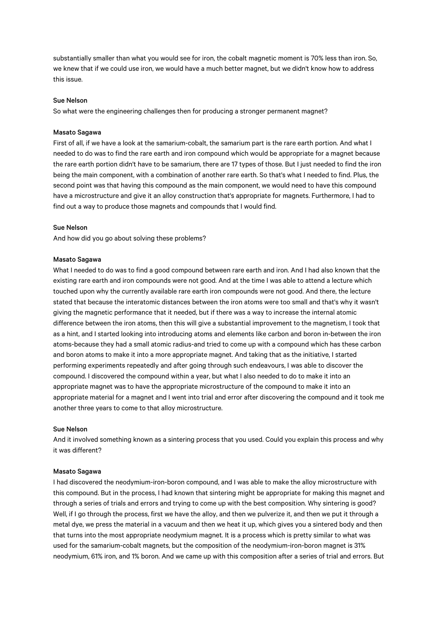substantially smaller than what you would see for iron, the cobalt magnetic moment is 70% less than iron. So, we knew that if we could use iron, we would have a much better magnet, but we didn't know how to address this issue.

# Sue Nelson

So what were the engineering challenges then for producing a stronger permanent magnet?

## Masato Sagawa

First of all, if we have a look at the samarium-cobalt, the samarium part is the rare earth portion. And what I needed to do was to find the rare earth and iron compound which would be appropriate for a magnet because the rare earth portion didn't have to be samarium, there are 17 types of those. But I just needed to find the iron being the main component, with a combination of another rare earth. So that's what I needed to find. Plus, the second point was that having this compound as the main component, we would need to have this compound have a microstructure and give it an alloy construction that's appropriate for magnets. Furthermore, I had to find out a way to produce those magnets and compounds that I would find.

## Sue Nelson

And how did you go about solving these problems?

### Masato Sagawa

What I needed to do was to find a good compound between rare earth and iron. And I had also known that the existing rare earth and iron compounds were not good. And at the time I was able to attend a lecture which touched upon why the currently available rare earth iron compounds were not good. And there, the lecture stated that because the interatomic distances between the iron atoms were too small and that's why it wasn't giving the magnetic performance that it needed, but if there was a way to increase the internal atomic difference between the iron atoms, then this will give a substantial improvement to the magnetism, I took that as a hint, and I started looking into introducing atoms and elements like carbon and boron in-between the iron atoms-because they had a small atomic radius-and tried to come up with a compound which has these carbon and boron atoms to make it into a more appropriate magnet. And taking that as the initiative, I started performing experiments repeatedly and after going through such endeavours, I was able to discover the compound. I discovered the compound within a year, but what I also needed to do to make it into an appropriate magnet was to have the appropriate microstructure of the compound to make it into an appropriate material for a magnet and I went into trial and error after discovering the compound and it took me another three years to come to that alloy microstructure.

#### Sue Nelson

And it involved something known as a sintering process that you used. Could you explain this process and why it was different?

## Masato Sagawa

I had discovered the neodymium-iron-boron compound, and I was able to make the alloy microstructure with this compound. But in the process, I had known that sintering might be appropriate for making this magnet and through a series of trials and errors and trying to come up with the best composition. Why sintering is good? Well, if I go through the process, first we have the alloy, and then we pulverize it, and then we put it through a metal dye, we press the material in a vacuum and then we heat it up, which gives you a sintered body and then that turns into the most appropriate neodymium magnet. It is a process which is pretty similar to what was used for the samarium-cobalt magnets, but the composition of the neodymium-iron-boron magnet is 31% neodymium, 61% iron, and 1% boron. And we came up with this composition after a series of trial and errors. But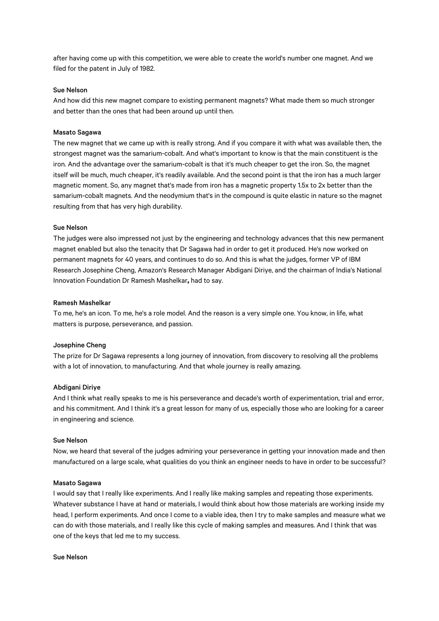after having come up with this competition, we were able to create the world's number one magnet. And we filed for the patent in July of 1982.

## Sue Nelson

And how did this new magnet compare to existing permanent magnets? What made them so much stronger and better than the ones that had been around up until then.

## Masato Sagawa

The new magnet that we came up with is really strong. And if you compare it with what was available then, the strongest magnet was the samarium-cobalt. And what's important to know is that the main constituent is the iron. And the advantage over the samarium-cobalt is that it's much cheaper to get the iron. So, the magnet itself will be much, much cheaper, it's readily available. And the second point is that the iron has a much larger magnetic moment. So, any magnet that's made from iron has a magnetic property 1.5x to 2x better than the samarium-cobalt magnets. And the neodymium that's in the compound is quite elastic in nature so the magnet resulting from that has very high durability.

#### Sue Nelson

The judges were also impressed not just by the engineering and technology advances that this new permanent magnet enabled but also the tenacity that Dr Sagawa had in order to get it produced. He's now worked on permanent magnets for 40 years, and continues to do so. And this is what the judges, former VP of IBM Research Josephine Cheng, Amazon's Research Manager Abdigani Diriye, and the chairman of India's National Innovation Foundation Dr Ramesh Mashelkar**,** had to say.

## Ramesh Mashelkar

To me, he's an icon. To me, he's a role model. And the reason is a very simple one. You know, in life, what matters is purpose, perseverance, and passion.

## Josephine Cheng

The prize for Dr Sagawa represents a long journey of innovation, from discovery to resolving all the problems with a lot of innovation, to manufacturing. And that whole journey is really amazing.

### Abdigani Diriye

And I think what really speaks to me is his perseverance and decade's worth of experimentation, trial and error, and his commitment. And I think it's a great lesson for many of us, especially those who are looking for a career in engineering and science.

### Sue Nelson

Now, we heard that several of the judges admiring your perseverance in getting your innovation made and then manufactured on a large scale, what qualities do you think an engineer needs to have in order to be successful?

## Masato Sagawa

I would say that I really like experiments. And I really like making samples and repeating those experiments. Whatever substance I have at hand or materials, I would think about how those materials are working inside my head, I perform experiments. And once I come to a viable idea, then I try to make samples and measure what we can do with those materials, and I really like this cycle of making samples and measures. And I think that was one of the keys that led me to my success.

### Sue Nelson